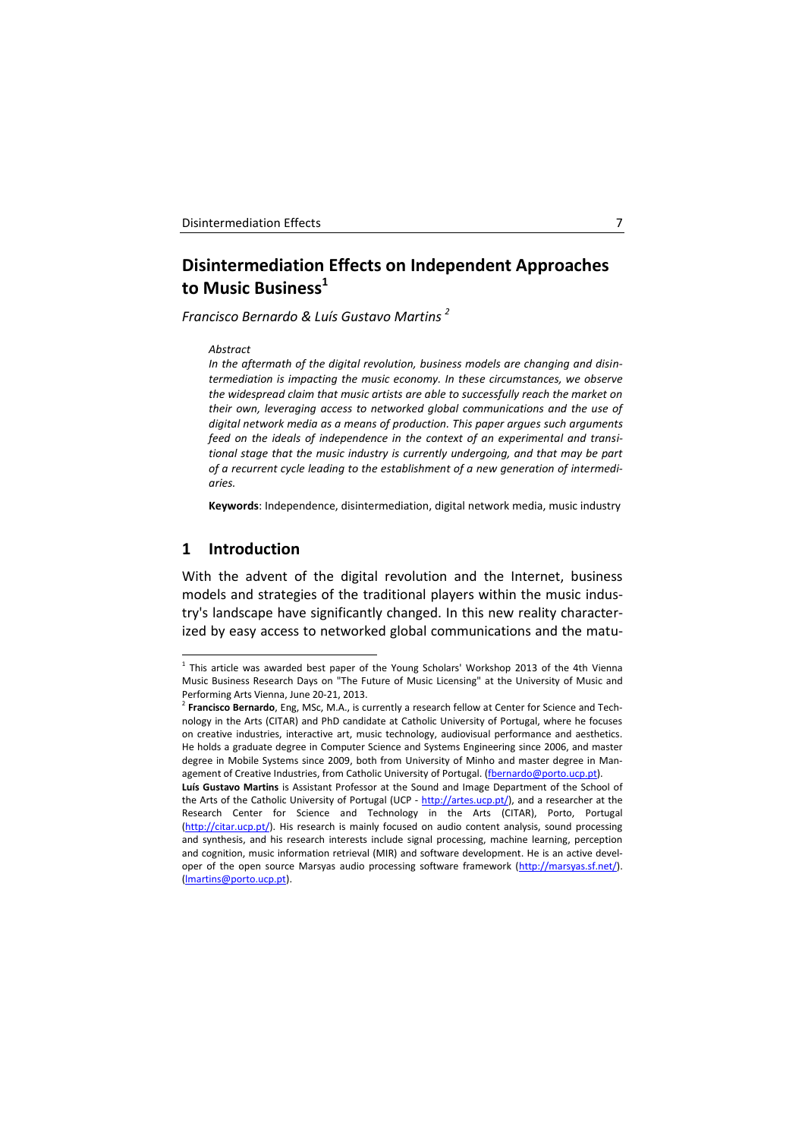# **Disintermediation Effects on Independent Approaches to Music Business<sup>1</sup>**

*Francisco Bernardo & Luís Gustavo Martins <sup>2</sup>*

#### *Abstract*

*In the aftermath of the digital revolution, business models are changing and disintermediation is impacting the music economy. In these circumstances, we observe the widespread claim that music artists are able to successfully reach the market on their own, leveraging access to networked global communications and the use of digital network media as a means of production. This paper argues such arguments feed on the ideals of independence in the context of an experimental and transitional stage that the music industry is currently undergoing, and that may be part of a recurrent cycle leading to the establishment of a new generation of intermediaries.*

**Keywords**: Independence, disintermediation, digital network media, music industry

# **1 Introduction**

1

With the advent of the digital revolution and the Internet, business models and strategies of the traditional players within the music industry's landscape have significantly changed. In this new reality characterized by easy access to networked global communications and the matu-

 $<sup>1</sup>$  This article was awarded best paper of the Young Scholars' Workshop 2013 of the 4th Vienna</sup> Music Business Research Days on "The Future of Music Licensing" at the University of Music and Performing Arts Vienna, June 20-21, 2013.

<sup>2</sup> **Francisco Bernardo**, Eng, MSc, M.A., is currently a research fellow at Center for Science and Technology in the Arts (CITAR) and PhD candidate at Catholic University of Portugal, where he focuses on creative industries, interactive art, music technology, audiovisual performance and aesthetics. He holds a graduate degree in Computer Science and Systems Engineering since 2006, and master degree in Mobile Systems since 2009, both from University of Minho and master degree in Man-agement of Creative Industries, from Catholic University of Portugal. [\(fbernardo@porto.ucp.pt\)](mailto:fbernardo@porto.ucp.pt).

**Luís Gustavo Martins** is Assistant Professor at the Sound and Image Department of the School of the Arts of the Catholic University of Portugal (UCP - [http://artes.ucp.pt/\)](http://artes.ucp.pt/), and a researcher at the Research Center for Science and Technology in the Arts (CITAR), Porto, Portugal [\(http://citar.ucp.pt/\).](http://citar.ucp.pt/) His research is mainly focused on audio content analysis, sound processing and synthesis, and his research interests include signal processing, machine learning, perception and cognition, music information retrieval (MIR) and software development. He is an active devel-oper of the open source Marsyas audio processing software framework [\(http://marsyas.sf.net/\)](http://marsyas.sf.net/). [\(lmartins@porto.ucp.pt\)](mailto:lmartins@porto.ucp.pt).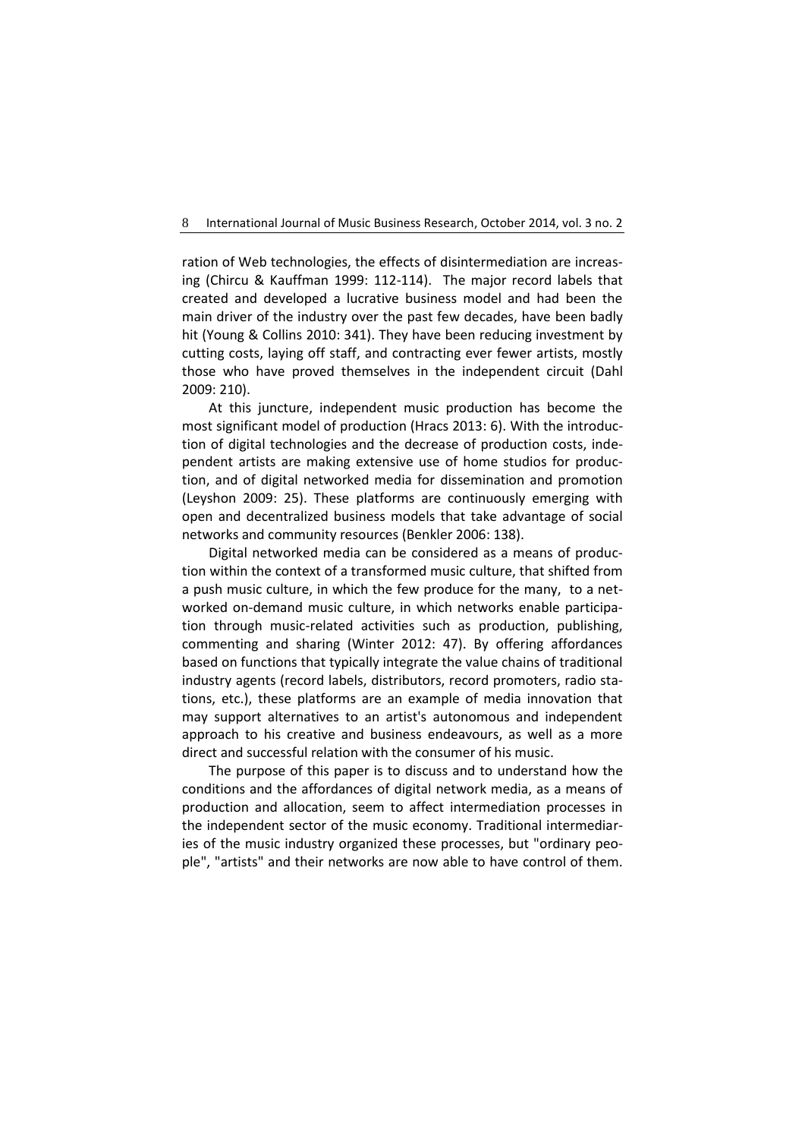ration of Web technologies, the effects of disintermediation are increasing (Chircu & Kauffman 1999: 112-114). The major record labels that created and developed a lucrative business model and had been the main driver of the industry over the past few decades, have been badly hit (Young & Collins 2010: 341). They have been reducing investment by cutting costs, laying off staff, and contracting ever fewer artists, mostly those who have proved themselves in the independent circuit (Dahl 2009: 210).

At this juncture, independent music production has become the most significant model of production (Hracs 2013: 6). With the introduction of digital technologies and the decrease of production costs, independent artists are making extensive use of home studios for production, and of digital networked media for dissemination and promotion (Leyshon 2009: 25). These platforms are continuously emerging with open and decentralized business models that take advantage of social networks and community resources (Benkler 2006: 138).

Digital networked media can be considered as a means of production within the context of a transformed music culture, that shifted from a push music culture, in which the few produce for the many, to a networked on-demand music culture, in which networks enable participation through music-related activities such as production, publishing, commenting and sharing (Winter 2012: 47). By offering affordances based on functions that typically integrate the value chains of traditional industry agents (record labels, distributors, record promoters, radio stations, etc.), these platforms are an example of media innovation that may support alternatives to an artist's autonomous and independent approach to his creative and business endeavours, as well as a more direct and successful relation with the consumer of his music.

The purpose of this paper is to discuss and to understand how the conditions and the affordances of digital network media, as a means of production and allocation, seem to affect intermediation processes in the independent sector of the music economy. Traditional intermediaries of the music industry organized these processes, but "ordinary people", "artists" and their networks are now able to have control of them.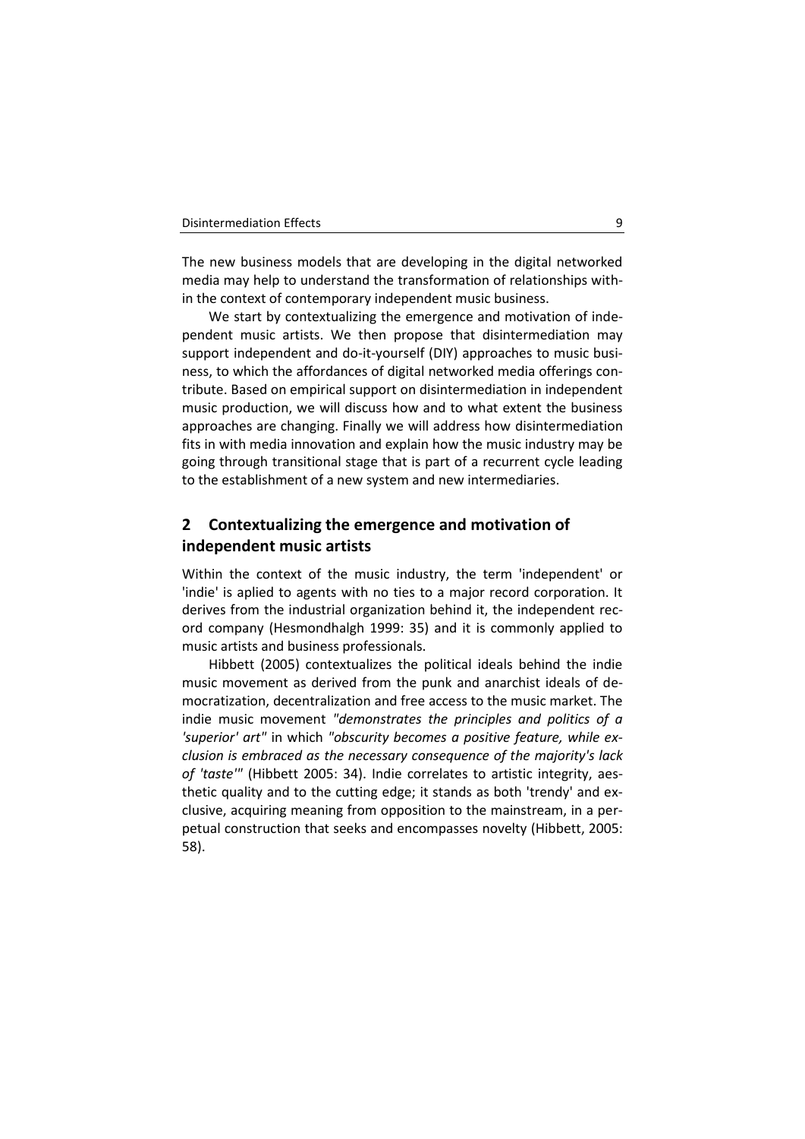The new business models that are developing in the digital networked media may help to understand the transformation of relationships within the context of contemporary independent music business.

We start by contextualizing the emergence and motivation of independent music artists. We then propose that disintermediation may support independent and do-it-yourself (DIY) approaches to music business, to which the affordances of digital networked media offerings contribute. Based on empirical support on disintermediation in independent music production, we will discuss how and to what extent the business approaches are changing. Finally we will address how disintermediation fits in with media innovation and explain how the music industry may be going through transitional stage that is part of a recurrent cycle leading to the establishment of a new system and new intermediaries.

# **2 Contextualizing the emergence and motivation of independent music artists**

Within the context of the music industry, the term 'independent' or 'indie' is aplied to agents with no ties to a major record corporation. It derives from the industrial organization behind it, the independent record company (Hesmondhalgh 1999: 35) and it is commonly applied to music artists and business professionals.

Hibbett (2005) contextualizes the political ideals behind the indie music movement as derived from the punk and anarchist ideals of democratization, decentralization and free access to the music market. The indie music movement *"demonstrates the principles and politics of a 'superior' art"* in which *"obscurity becomes a positive feature, while exclusion is embraced as the necessary consequence of the majority's lack of 'taste'"* (Hibbett 2005: 34). Indie correlates to artistic integrity, aesthetic quality and to the cutting edge; it stands as both 'trendy' and exclusive, acquiring meaning from opposition to the mainstream, in a perpetual construction that seeks and encompasses novelty (Hibbett, 2005: 58).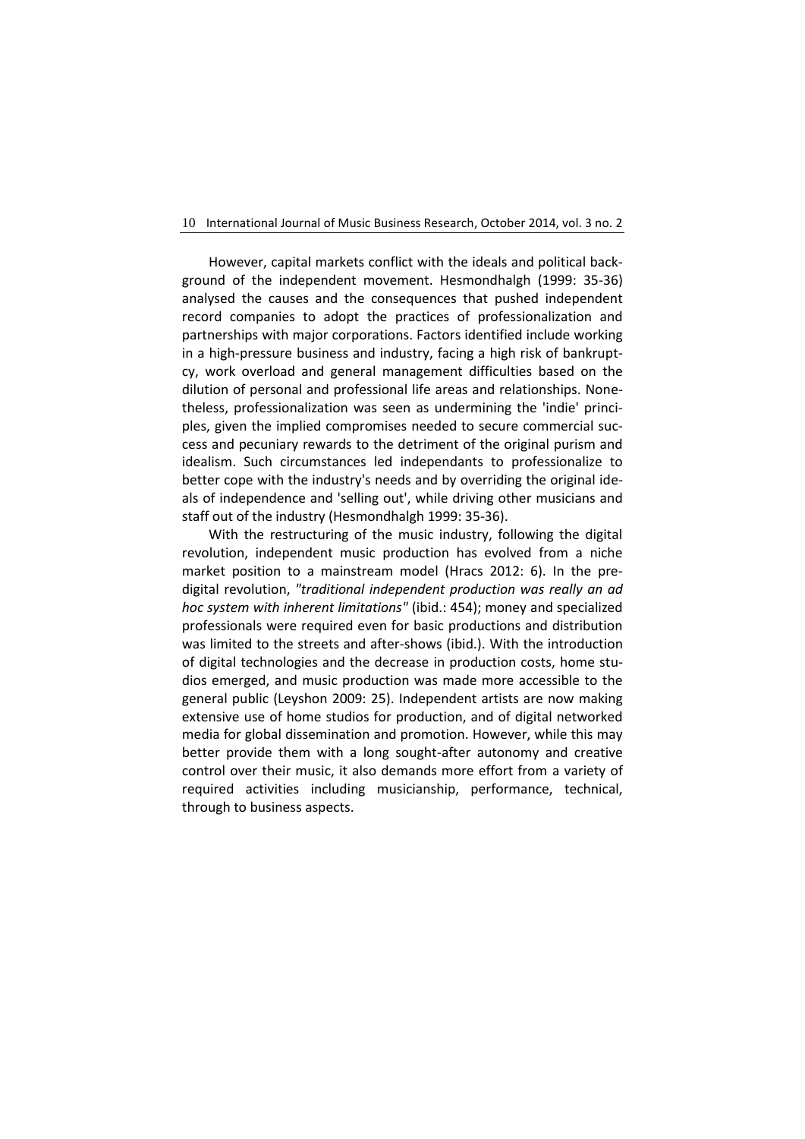However, capital markets conflict with the ideals and political background of the independent movement. Hesmondhalgh (1999: 35-36) analysed the causes and the consequences that pushed independent record companies to adopt the practices of professionalization and partnerships with major corporations. Factors identified include working in a high-pressure business and industry, facing a high risk of bankruptcy, work overload and general management difficulties based on the dilution of personal and professional life areas and relationships. Nonetheless, professionalization was seen as undermining the 'indie' principles, given the implied compromises needed to secure commercial success and pecuniary rewards to the detriment of the original purism and idealism. Such circumstances led independants to professionalize to better cope with the industry's needs and by overriding the original ideals of independence and 'selling out', while driving other musicians and staff out of the industry (Hesmondhalgh 1999: 35-36).

With the restructuring of the music industry, following the digital revolution, independent music production has evolved from a niche market position to a mainstream model (Hracs 2012: 6). In the predigital revolution, *"traditional independent production was really an ad hoc system with inherent limitations"* (ibid.: 454); money and specialized professionals were required even for basic productions and distribution was limited to the streets and after-shows (ibid.). With the introduction of digital technologies and the decrease in production costs, home studios emerged, and music production was made more accessible to the general public (Leyshon 2009: 25). Independent artists are now making extensive use of home studios for production, and of digital networked media for global dissemination and promotion. However, while this may better provide them with a long sought-after autonomy and creative control over their music, it also demands more effort from a variety of required activities including musicianship, performance, technical, through to business aspects.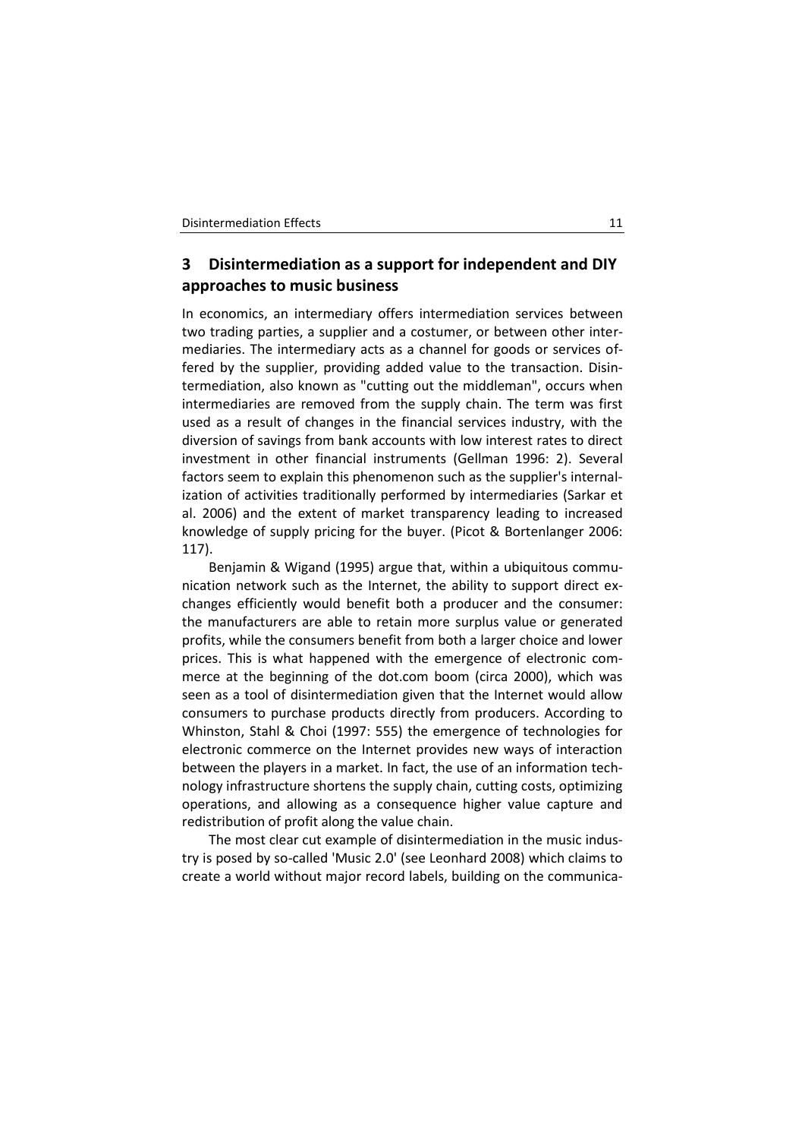# **3 Disintermediation as a support for independent and DIY approaches to music business**

In economics, an intermediary offers intermediation services between two trading parties, a supplier and a costumer, or between other intermediaries. The intermediary acts as a channel for goods or services offered by the supplier, providing added value to the transaction. Disintermediation, also known as "cutting out the middleman", occurs when intermediaries are removed from the supply chain. The term was first used as a result of changes in the financial services industry, with the diversion of savings from bank accounts with low interest rates to direct investment in other financial instruments (Gellman 1996: 2). Several factors seem to explain this phenomenon such as the supplier's internalization of activities traditionally performed by intermediaries (Sarkar et al. 2006) and the extent of market transparency leading to increased knowledge of supply pricing for the buyer. (Picot & Bortenlanger 2006: 117).

Benjamin & Wigand (1995) argue that, within a ubiquitous communication network such as the Internet, the ability to support direct exchanges efficiently would benefit both a producer and the consumer: the manufacturers are able to retain more surplus value or generated profits, while the consumers benefit from both a larger choice and lower prices. This is what happened with the emergence of electronic commerce at the beginning of the dot.com boom (circa 2000), which was seen as a tool of disintermediation given that the Internet would allow consumers to purchase products directly from producers. According to Whinston, Stahl & Choi (1997: 555) the emergence of technologies for electronic commerce on the Internet provides new ways of interaction between the players in a market. In fact, the use of an information technology infrastructure shortens the supply chain, cutting costs, optimizing operations, and allowing as a consequence higher value capture and redistribution of profit along the value chain.

The most clear cut example of disintermediation in the music industry is posed by so-called 'Music 2.0' (see Leonhard 2008) which claims to create a world without major record labels, building on the communica-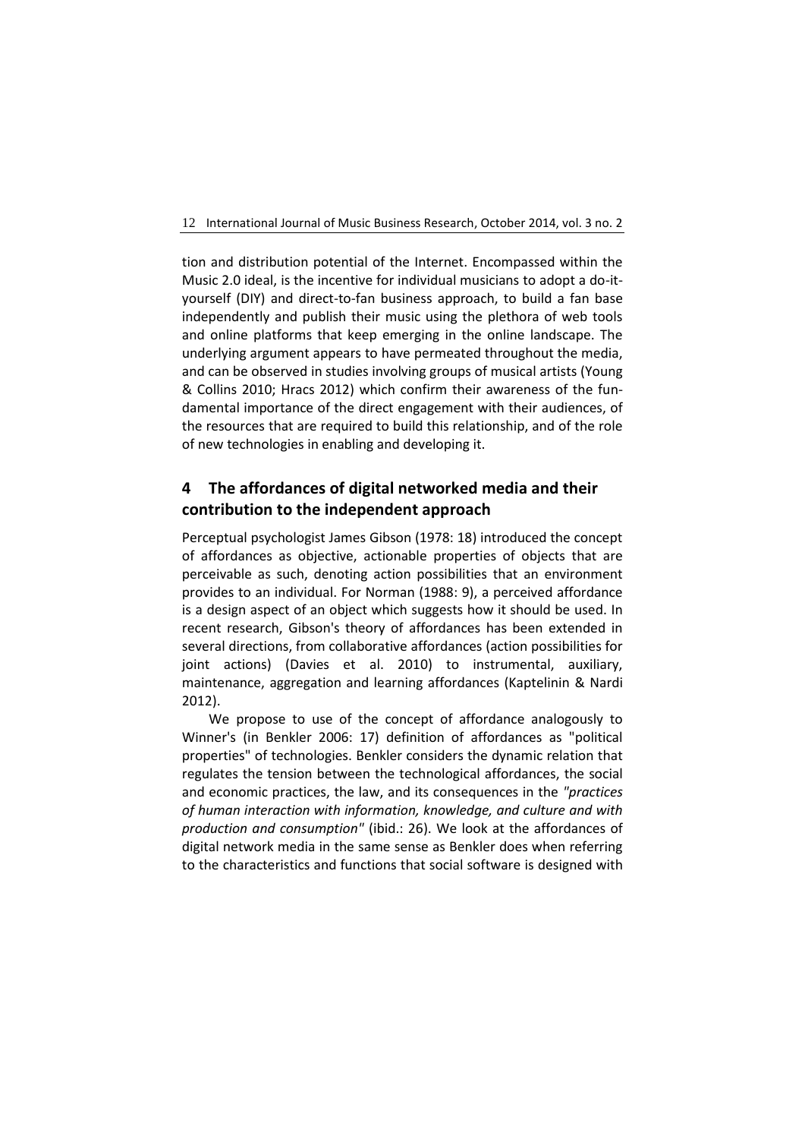tion and distribution potential of the Internet. Encompassed within the Music 2.0 ideal, is the incentive for individual musicians to adopt a do-ityourself (DIY) and direct-to-fan business approach, to build a fan base independently and publish their music using the plethora of web tools and online platforms that keep emerging in the online landscape. The underlying argument appears to have permeated throughout the media, and can be observed in studies involving groups of musical artists (Young & Collins 2010; Hracs 2012) which confirm their awareness of the fundamental importance of the direct engagement with their audiences, of the resources that are required to build this relationship, and of the role of new technologies in enabling and developing it.

# **4 The affordances of digital networked media and their contribution to the independent approach**

Perceptual psychologist James Gibson (1978: 18) introduced the concept of affordances as objective, actionable properties of objects that are perceivable as such, denoting action possibilities that an environment provides to an individual. For Norman (1988: 9), a perceived affordance is a design aspect of an object which suggests how it should be used. In recent research, Gibson's theory of affordances has been extended in several directions, from collaborative affordances (action possibilities for joint actions) (Davies et al. 2010) to instrumental, auxiliary, maintenance, aggregation and learning affordances (Kaptelinin & Nardi 2012).

We propose to use of the concept of affordance analogously to Winner's (in Benkler 2006: 17) definition of affordances as "political properties" of technologies. Benkler considers the dynamic relation that regulates the tension between the technological affordances, the social and economic practices, the law, and its consequences in the *"practices of human interaction with information, knowledge, and culture and with production and consumption"* (ibid.: 26). We look at the affordances of digital network media in the same sense as Benkler does when referring to the characteristics and functions that social software is designed with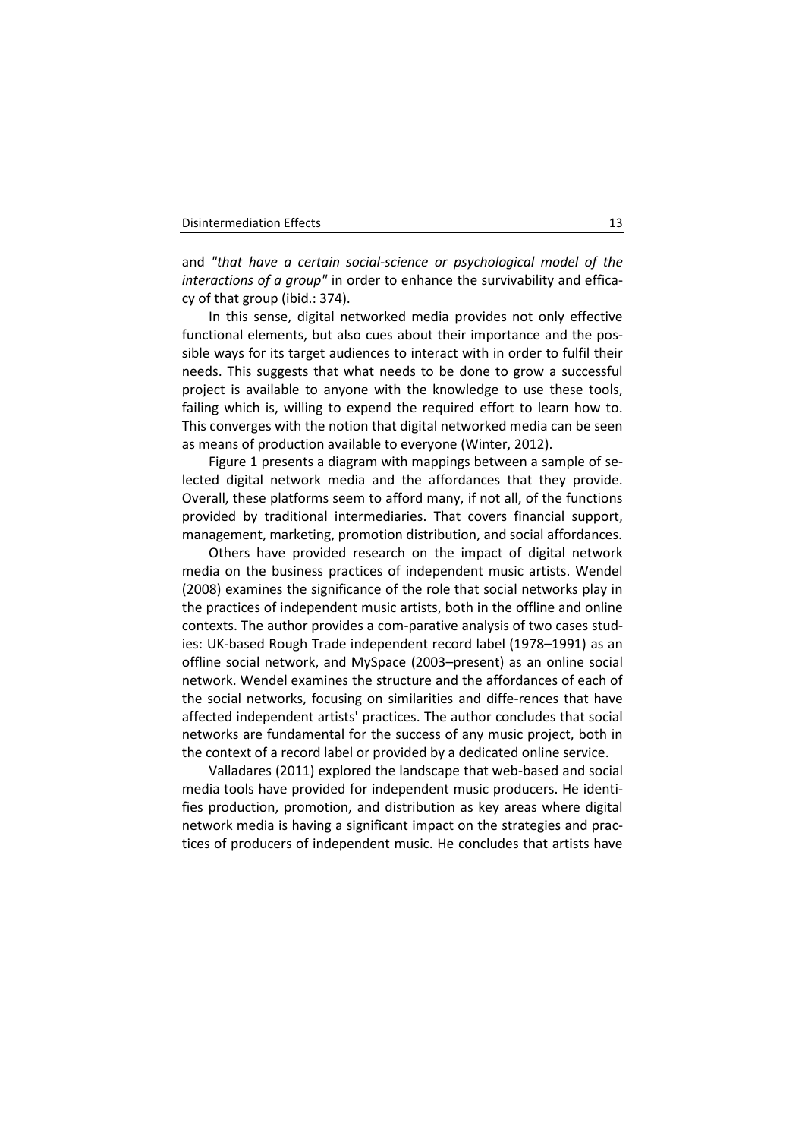and *"that have a certain social-science or psychological model of the interactions of a group"* in order to enhance the survivability and efficacy of that group (ibid.: 374).

In this sense, digital networked media provides not only effective functional elements, but also cues about their importance and the possible ways for its target audiences to interact with in order to fulfil their needs. This suggests that what needs to be done to grow a successful project is available to anyone with the knowledge to use these tools, failing which is, willing to expend the required effort to learn how to. This converges with the notion that digital networked media can be seen as means of production available to everyone (Winter, 2012).

Figure 1 presents a diagram with mappings between a sample of selected digital network media and the affordances that they provide. Overall, these platforms seem to afford many, if not all, of the functions provided by traditional intermediaries. That covers financial support, management, marketing, promotion distribution, and social affordances.

Others have provided research on the impact of digital network media on the business practices of independent music artists. Wendel (2008) examines the significance of the role that social networks play in the practices of independent music artists, both in the offline and online contexts. The author provides a com-parative analysis of two cases studies: UK-based Rough Trade independent record label (1978–1991) as an offline social network, and MySpace (2003–present) as an online social network. Wendel examines the structure and the affordances of each of the social networks, focusing on similarities and diffe-rences that have affected independent artists' practices. The author concludes that social networks are fundamental for the success of any music project, both in the context of a record label or provided by a dedicated online service.

Valladares (2011) explored the landscape that web-based and social media tools have provided for independent music producers. He identifies production, promotion, and distribution as key areas where digital network media is having a significant impact on the strategies and practices of producers of independent music. He concludes that artists have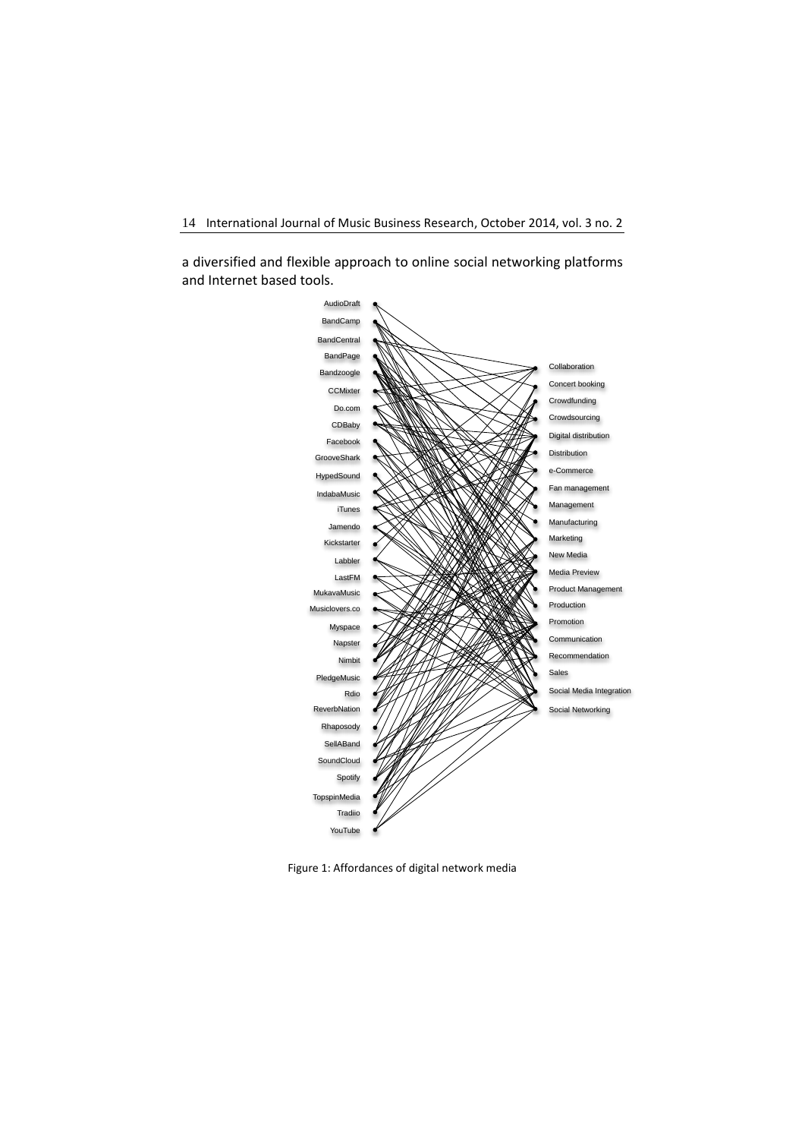a diversified and flexible approach to online social networking platforms and Internet based tools.



Figure 1: Affordances of digital network media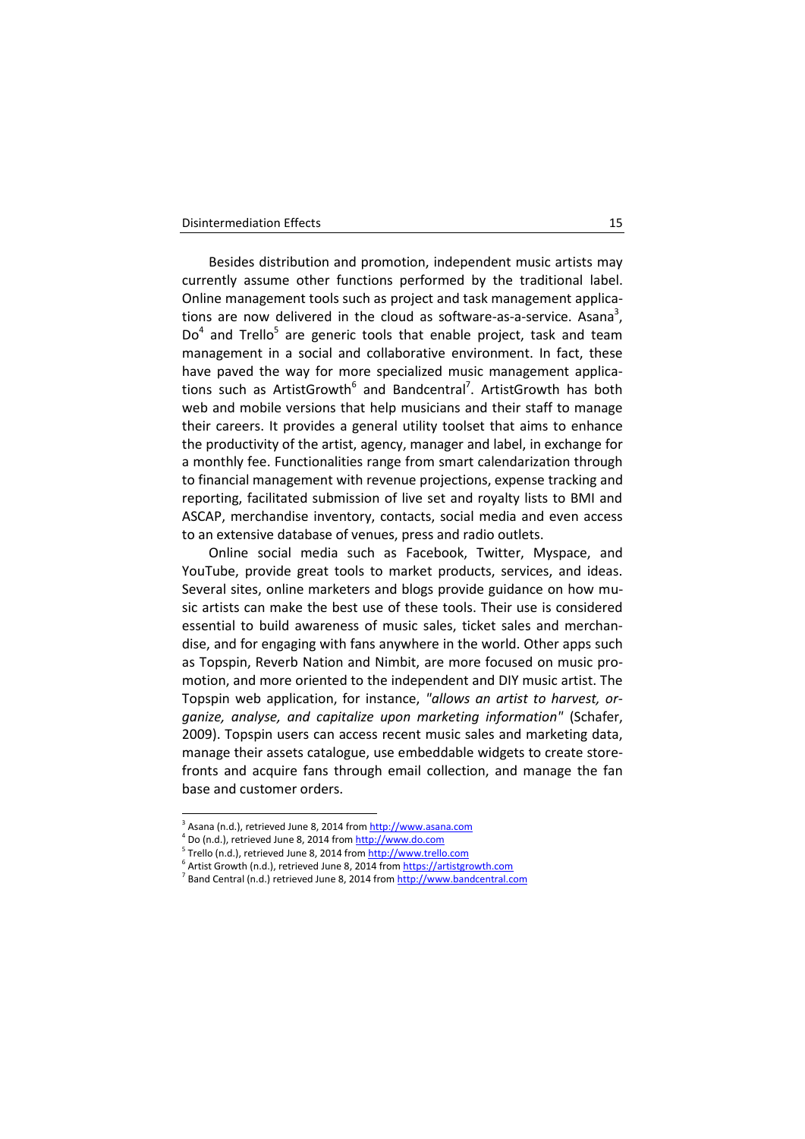Besides distribution and promotion, independent music artists may currently assume other functions performed by the traditional label. Online management tools such as project and task management applications are now delivered in the cloud as software-as-a-service. Asana<sup>3</sup>, Do<sup>4</sup> and Trello<sup>5</sup> are generic tools that enable project, task and team management in a social and collaborative environment. In fact, these have paved the way for more specialized music management applications such as ArtistGrowth<sup>6</sup> and Bandcentral<sup>7</sup>. ArtistGrowth has both web and mobile versions that help musicians and their staff to manage their careers. It provides a general utility toolset that aims to enhance the productivity of the artist, agency, manager and label, in exchange for a monthly fee. Functionalities range from smart calendarization through to financial management with revenue projections, expense tracking and reporting, facilitated submission of live set and royalty lists to BMI and ASCAP, merchandise inventory, contacts, social media and even access to an extensive database of venues, press and radio outlets.

Online social media such as Facebook, Twitter, Myspace, and YouTube, provide great tools to market products, services, and ideas. Several sites, online marketers and blogs provide guidance on how music artists can make the best use of these tools. Their use is considered essential to build awareness of music sales, ticket sales and merchandise, and for engaging with fans anywhere in the world. Other apps such as Topspin, Reverb Nation and Nimbit, are more focused on music promotion, and more oriented to the independent and DIY music artist. The Topspin web application, for instance, *"allows an artist to harvest, organize, analyse, and capitalize upon marketing information"* (Schafer, 2009). Topspin users can access recent music sales and marketing data, manage their assets catalogue, use embeddable widgets to create storefronts and acquire fans through email collection, and manage the fan base and customer orders.

 3 Asana (n.d.), retrieved June 8, 2014 fro[m http://www.asana.com](http://www.asana.com/)

<sup>&</sup>lt;sup>4</sup> Do (n.d.), retrieved June 8, 2014 from <u>http://www.do.com</u>

<sup>&</sup>lt;sup>5</sup> Trello (n.d.), retrieved June 8, 2014 from  $\frac{http://www.trello.com}{http://www.trello.com}$ 

 $\hat{\theta}$  Artist Growth (n.d.), retrieved June 8, 2014 from <u>https://artistgrowth.com</u>

<sup>&</sup>lt;sup>7</sup> Band Central (n.d.) retrieved June 8, 2014 fro[m http://www.bandcentral.com](http://www.bandcentral.com/)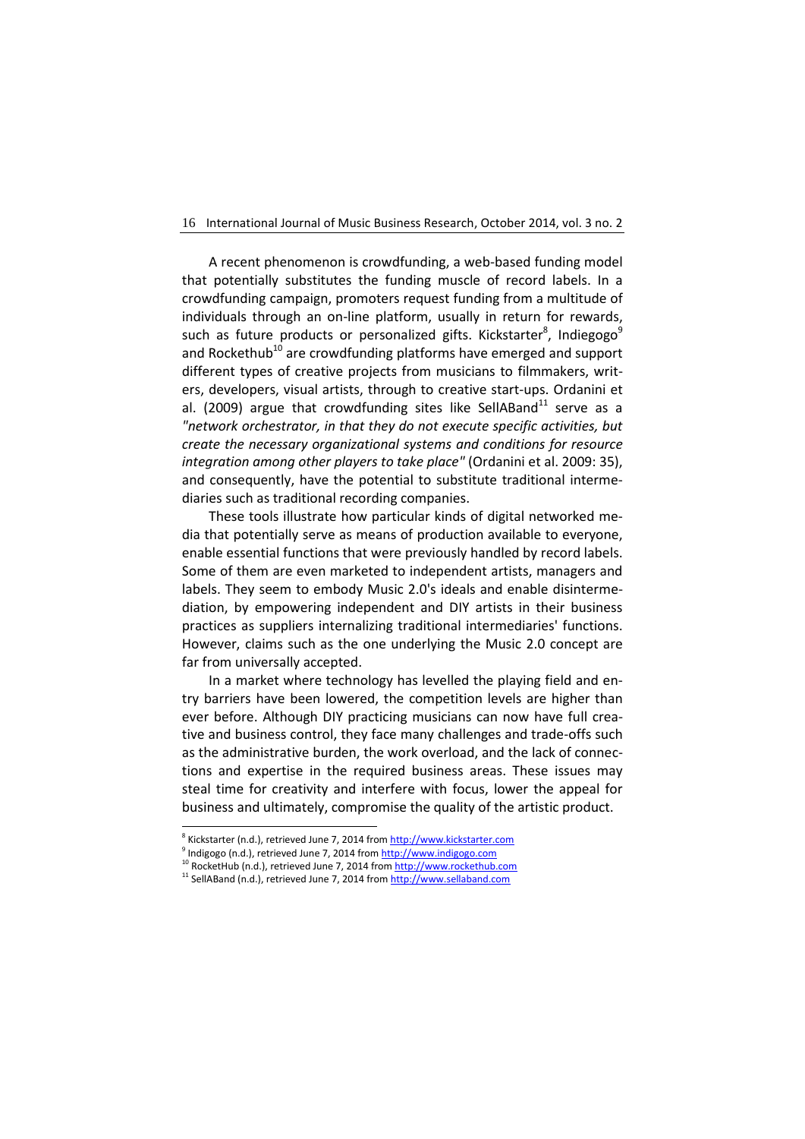A recent phenomenon is crowdfunding, a web-based funding model that potentially substitutes the funding muscle of record labels. In a crowdfunding campaign, promoters request funding from a multitude of individuals through an on-line platform, usually in return for rewards, such as future products or personalized gifts. Kickstarter<sup>8</sup>, Indiegogo<sup>9</sup> and Rockethub<sup>10</sup> are crowdfunding platforms have emerged and support different types of creative projects from musicians to filmmakers, writers, developers, visual artists, through to creative start-ups. Ordanini et al. (2009) argue that crowdfunding sites like SellABand<sup>11</sup> serve as a *"network orchestrator, in that they do not execute specific activities, but create the necessary organizational systems and conditions for resource integration among other players to take place"* (Ordanini et al. 2009: 35), and consequently, have the potential to substitute traditional intermediaries such as traditional recording companies.

These tools illustrate how particular kinds of digital networked media that potentially serve as means of production available to everyone, enable essential functions that were previously handled by record labels. Some of them are even marketed to independent artists, managers and labels. They seem to embody Music 2.0's ideals and enable disintermediation, by empowering independent and DIY artists in their business practices as suppliers internalizing traditional intermediaries' functions. However, claims such as the one underlying the Music 2.0 concept are far from universally accepted.

In a market where technology has levelled the playing field and entry barriers have been lowered, the competition levels are higher than ever before. Although DIY practicing musicians can now have full creative and business control, they face many challenges and trade-offs such as the administrative burden, the work overload, and the lack of connections and expertise in the required business areas. These issues may steal time for creativity and interfere with focus, lower the appeal for business and ultimately, compromise the quality of the artistic product.

-

<sup>&</sup>lt;sup>8</sup> Kickstarter (n.d.), retrieved June 7, 2014 from <u>http://www.kickstarter.com</u>

<sup>&</sup>lt;sup>9</sup> Indigogo (n.d.), retrieved June 7, 2014 from <u>http://www.indigogo.com</u>

<sup>&</sup>lt;sup>)</sup> RocketHub (n.d.), retrieved June 7, 2014 from <u>http://www.rockethub.com</u>

 $11$  SellABand (n.d.), retrieved June 7, 2014 from  $\frac{\text{http://www.sellaband.com}}{\text{http://www.sellaband.com}}$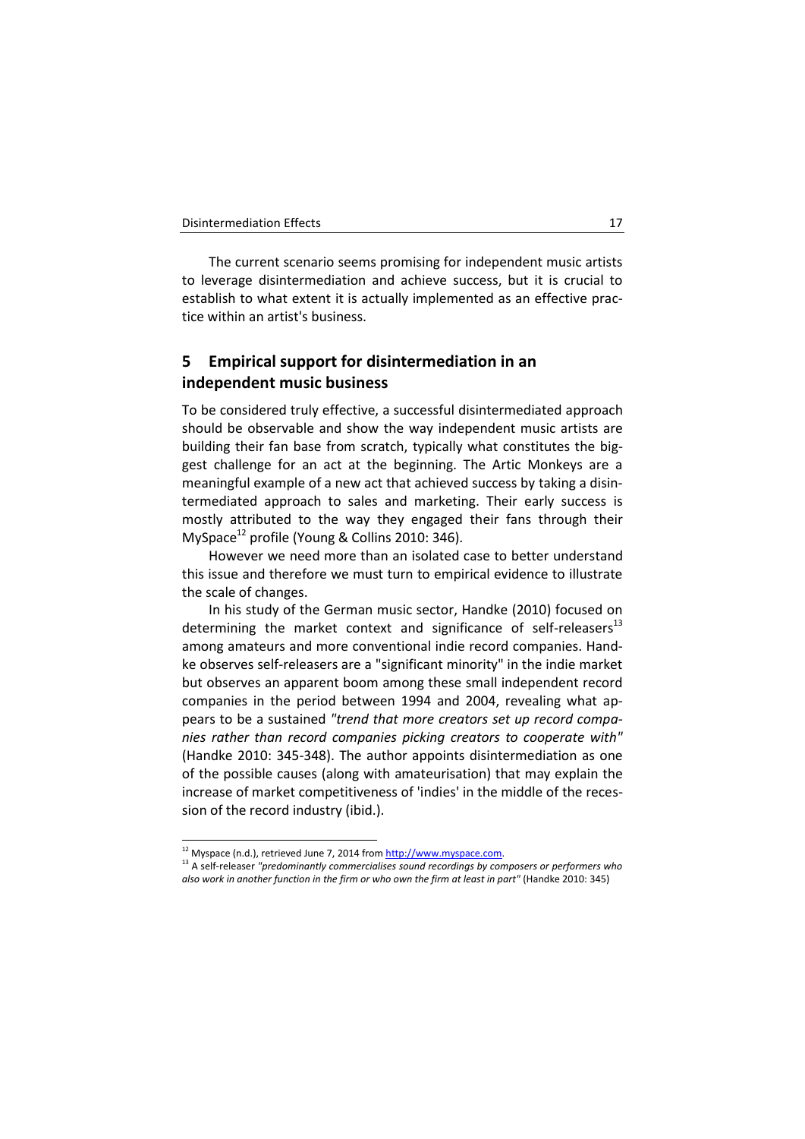The current scenario seems promising for independent music artists to leverage disintermediation and achieve success, but it is crucial to establish to what extent it is actually implemented as an effective practice within an artist's business.

# **5 Empirical support for disintermediation in an independent music business**

To be considered truly effective, a successful disintermediated approach should be observable and show the way independent music artists are building their fan base from scratch, typically what constitutes the biggest challenge for an act at the beginning. The Artic Monkeys are a meaningful example of a new act that achieved success by taking a disintermediated approach to sales and marketing. Their early success is mostly attributed to the way they engaged their fans through their MySpace<sup>12</sup> profile (Young & Collins 2010: 346).

However we need more than an isolated case to better understand this issue and therefore we must turn to empirical evidence to illustrate the scale of changes.

In his study of the German music sector, Handke (2010) focused on determining the market context and significance of self-releasers $^{13}$ among amateurs and more conventional indie record companies. Handke observes self-releasers are a "significant minority" in the indie market but observes an apparent boom among these small independent record companies in the period between 1994 and 2004, revealing what appears to be a sustained *"trend that more creators set up record companies rather than record companies picking creators to cooperate with"* (Handke 2010: 345-348). The author appoints disintermediation as one of the possible causes (along with amateurisation) that may explain the increase of market competitiveness of 'indies' in the middle of the recession of the record industry (ibid.).

-

<sup>13</sup> A self-releaser *"predominantly commercialises sound recordings by composers or performers who also work in another function in the firm or who own the firm at least in part"* (Handke 2010: 345)

<sup>&</sup>lt;sup>12</sup> Myspace (n.d.), retrieved June 7, 2014 fro[m http://www.myspace.com.](http://www.myspace.com/)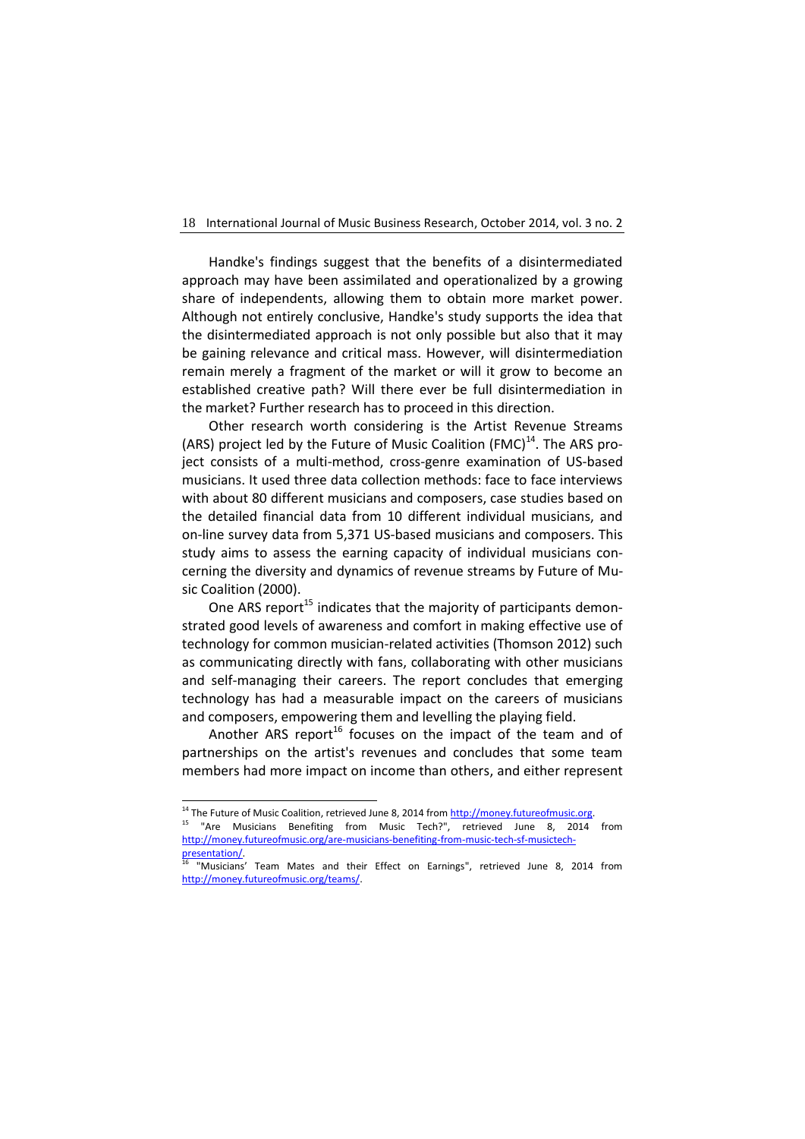Handke's findings suggest that the benefits of a disintermediated approach may have been assimilated and operationalized by a growing share of independents, allowing them to obtain more market power. Although not entirely conclusive, Handke's study supports the idea that the disintermediated approach is not only possible but also that it may be gaining relevance and critical mass. However, will disintermediation remain merely a fragment of the market or will it grow to become an established creative path? Will there ever be full disintermediation in the market? Further research has to proceed in this direction.

Other research worth considering is the Artist Revenue Streams (ARS) project led by the Future of Music Coalition (FMC) $<sup>14</sup>$ . The ARS pro-</sup> ject consists of a multi-method, cross-genre examination of US-based musicians. It used three data collection methods: face to face interviews with about 80 different musicians and composers, case studies based on the detailed financial data from 10 different individual musicians, and on-line survey data from 5,371 US-based musicians and composers. This study aims to assess the earning capacity of individual musicians concerning the diversity and dynamics of revenue streams by Future of Music Coalition (2000).

One ARS report<sup>15</sup> indicates that the majority of participants demonstrated good levels of awareness and comfort in making effective use of technology for common musician-related activities (Thomson 2012) such as communicating directly with fans, collaborating with other musicians and self-managing their careers. The report concludes that emerging technology has had a measurable impact on the careers of musicians and composers, empowering them and levelling the playing field.

Another ARS report<sup>16</sup> focuses on the impact of the team and of partnerships on the artist's revenues and concludes that some team members had more impact on income than others, and either represent

-

<sup>&</sup>lt;sup>14</sup> The Future of Music Coalition, retrieved June 8, 2014 from http://money.futureofmusic.org.

<sup>&</sup>lt;sup>15</sup> "Are Musicians Benefiting from Music Tech?", retrieved June 8, 2014 from [http://money.futureofmusic.org/are-musicians-benefiting-from-music-tech-sf-musictech](http://money.futureofmusic.org/are-musicians-benefiting-from-music-tech-sf-musictech-presentation/)[presentation/.](http://money.futureofmusic.org/are-musicians-benefiting-from-music-tech-sf-musictech-presentation/) 

<sup>&</sup>quot;Musicians' Team Mates and their Effect on Earnings", retrieved June 8, 2014 from [http://money.futureofmusic.org/teams/.](http://money.futureofmusic.org/teams/)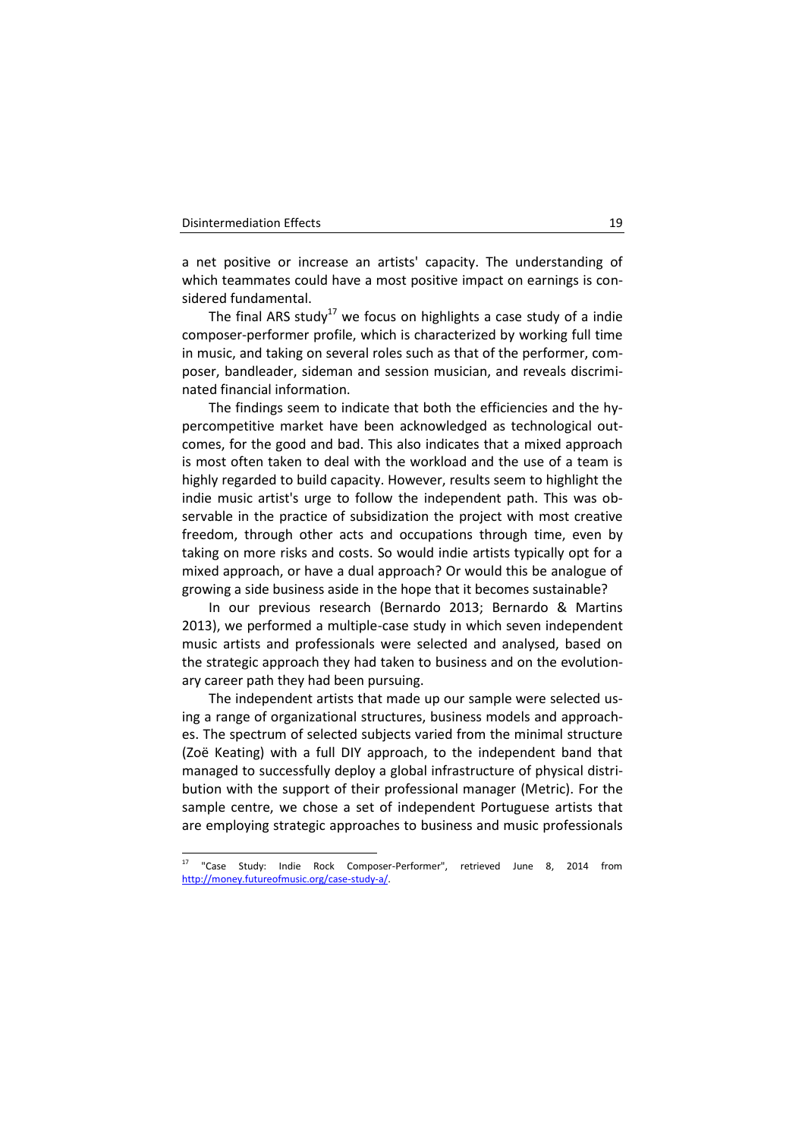-

a net positive or increase an artists' capacity. The understanding of which teammates could have a most positive impact on earnings is considered fundamental.

The final ARS study<sup>17</sup> we focus on highlights a case study of a indie composer-performer profile, which is characterized by working full time in music, and taking on several roles such as that of the performer, composer, bandleader, sideman and session musician, and reveals discriminated financial information.

The findings seem to indicate that both the efficiencies and the hypercompetitive market have been acknowledged as technological outcomes, for the good and bad. This also indicates that a mixed approach is most often taken to deal with the workload and the use of a team is highly regarded to build capacity. However, results seem to highlight the indie music artist's urge to follow the independent path. This was observable in the practice of subsidization the project with most creative freedom, through other acts and occupations through time, even by taking on more risks and costs. So would indie artists typically opt for a mixed approach, or have a dual approach? Or would this be analogue of growing a side business aside in the hope that it becomes sustainable?

In our previous research (Bernardo 2013; Bernardo & Martins 2013), we performed a multiple-case study in which seven independent music artists and professionals were selected and analysed, based on the strategic approach they had taken to business and on the evolutionary career path they had been pursuing.

The independent artists that made up our sample were selected using a range of organizational structures, business models and approaches. The spectrum of selected subjects varied from the minimal structure (Zoë Keating) with a full DIY approach, to the independent band that managed to successfully deploy a global infrastructure of physical distribution with the support of their professional manager (Metric). For the sample centre, we chose a set of independent Portuguese artists that are employing strategic approaches to business and music professionals

<sup>&</sup>quot;Case Study: Indie Rock Composer-Performer", retrieved June 8, 2014 from [http://money.futureofmusic.org/case-study-a/.](http://money.futureofmusic.org/case-study-a/)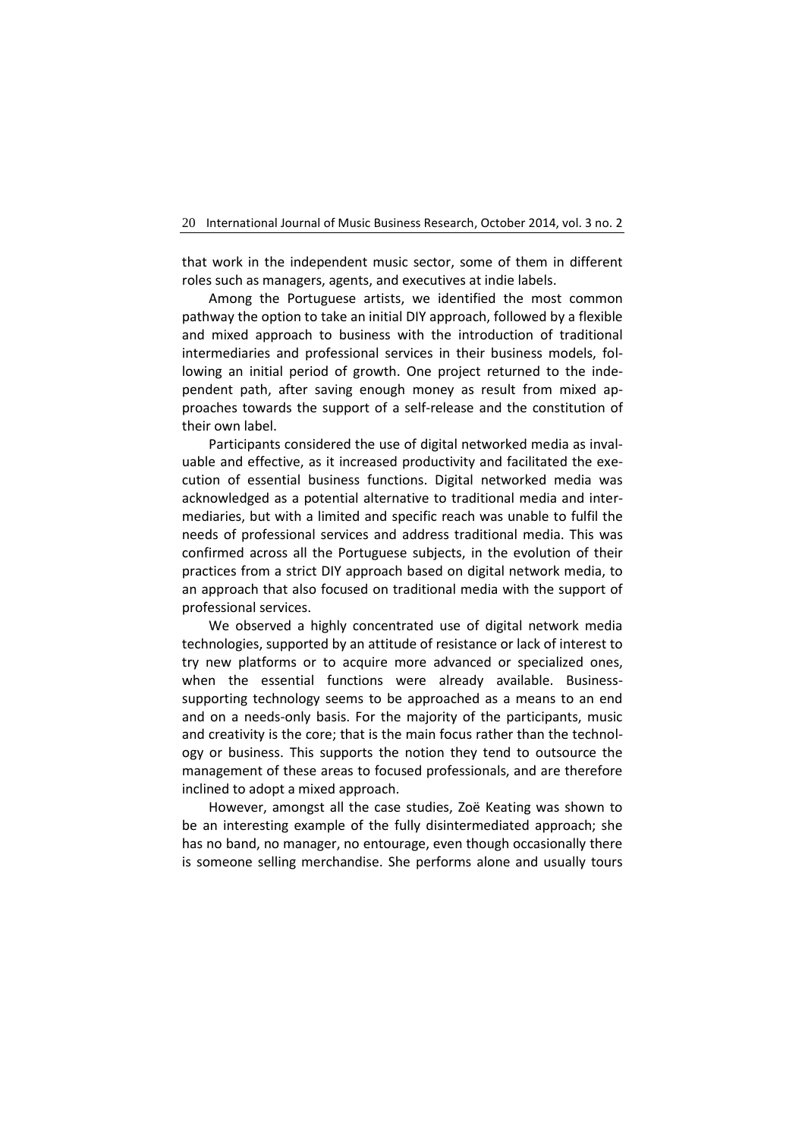that work in the independent music sector, some of them in different roles such as managers, agents, and executives at indie labels.

Among the Portuguese artists, we identified the most common pathway the option to take an initial DIY approach, followed by a flexible and mixed approach to business with the introduction of traditional intermediaries and professional services in their business models, following an initial period of growth. One project returned to the independent path, after saving enough money as result from mixed approaches towards the support of a self-release and the constitution of their own label.

Participants considered the use of digital networked media as invaluable and effective, as it increased productivity and facilitated the execution of essential business functions. Digital networked media was acknowledged as a potential alternative to traditional media and intermediaries, but with a limited and specific reach was unable to fulfil the needs of professional services and address traditional media. This was confirmed across all the Portuguese subjects, in the evolution of their practices from a strict DIY approach based on digital network media, to an approach that also focused on traditional media with the support of professional services.

We observed a highly concentrated use of digital network media technologies, supported by an attitude of resistance or lack of interest to try new platforms or to acquire more advanced or specialized ones, when the essential functions were already available. Businesssupporting technology seems to be approached as a means to an end and on a needs-only basis. For the majority of the participants, music and creativity is the core; that is the main focus rather than the technology or business. This supports the notion they tend to outsource the management of these areas to focused professionals, and are therefore inclined to adopt a mixed approach.

However, amongst all the case studies, Zoë Keating was shown to be an interesting example of the fully disintermediated approach; she has no band, no manager, no entourage, even though occasionally there is someone selling merchandise. She performs alone and usually tours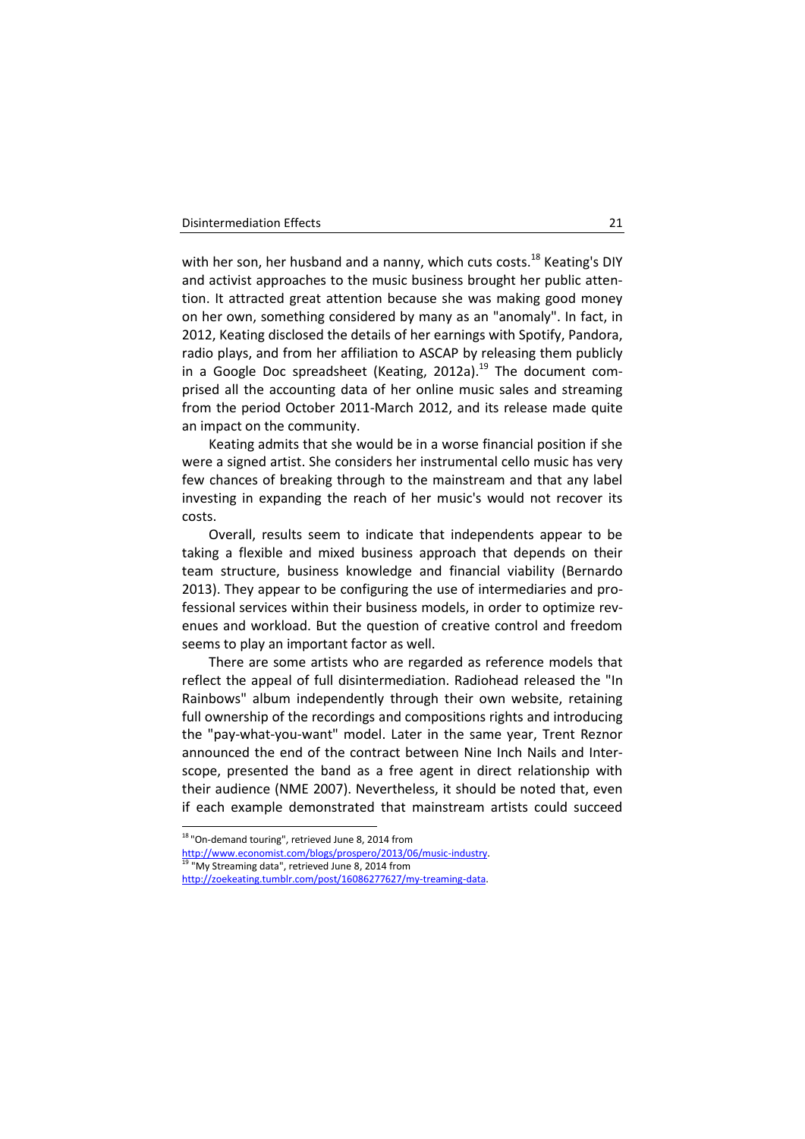with her son, her husband and a nanny, which cuts costs.<sup>18</sup> Keating's DIY and activist approaches to the music business brought her public attention. It attracted great attention because she was making good money on her own, something considered by many as an "anomaly". In fact, in 2012, Keating disclosed the details of her earnings with Spotify, Pandora, radio plays, and from her affiliation to ASCAP by releasing them publicly in a Google Doc spreadsheet (Keating, 2012a).<sup>19</sup> The document comprised all the accounting data of her online music sales and streaming from the period October 2011-March 2012, and its release made quite an impact on the community.

Keating admits that she would be in a worse financial position if she were a signed artist. She considers her instrumental cello music has very few chances of breaking through to the mainstream and that any label investing in expanding the reach of her music's would not recover its costs.

Overall, results seem to indicate that independents appear to be taking a flexible and mixed business approach that depends on their team structure, business knowledge and financial viability (Bernardo 2013). They appear to be configuring the use of intermediaries and professional services within their business models, in order to optimize revenues and workload. But the question of creative control and freedom seems to play an important factor as well.

There are some artists who are regarded as reference models that reflect the appeal of full disintermediation. Radiohead released the "In Rainbows" album independently through their own website, retaining full ownership of the recordings and compositions rights and introducing the "pay-what-you-want" model. Later in the same year, Trent Reznor announced the end of the contract between Nine Inch Nails and Interscope, presented the band as a free agent in direct relationship with their audience (NME 2007). Nevertheless, it should be noted that, even if each example demonstrated that mainstream artists could succeed

-

<sup>&</sup>lt;sup>18</sup> "On-demand touring", retrieved June 8, 2014 from

[http://www.economist.com/blogs/prospero/2013/06/music-industry.](http://www.economist.com/blogs/prospero/2013/06/music-industry) 

<sup>&</sup>quot;My Streaming data", retrieved June 8, 2014 from

[http://zoekeating.tumblr.com/post/16086277627/my-treaming-data.](http://zoekeating.tumblr.com/post/16086277627/my-treaming-data)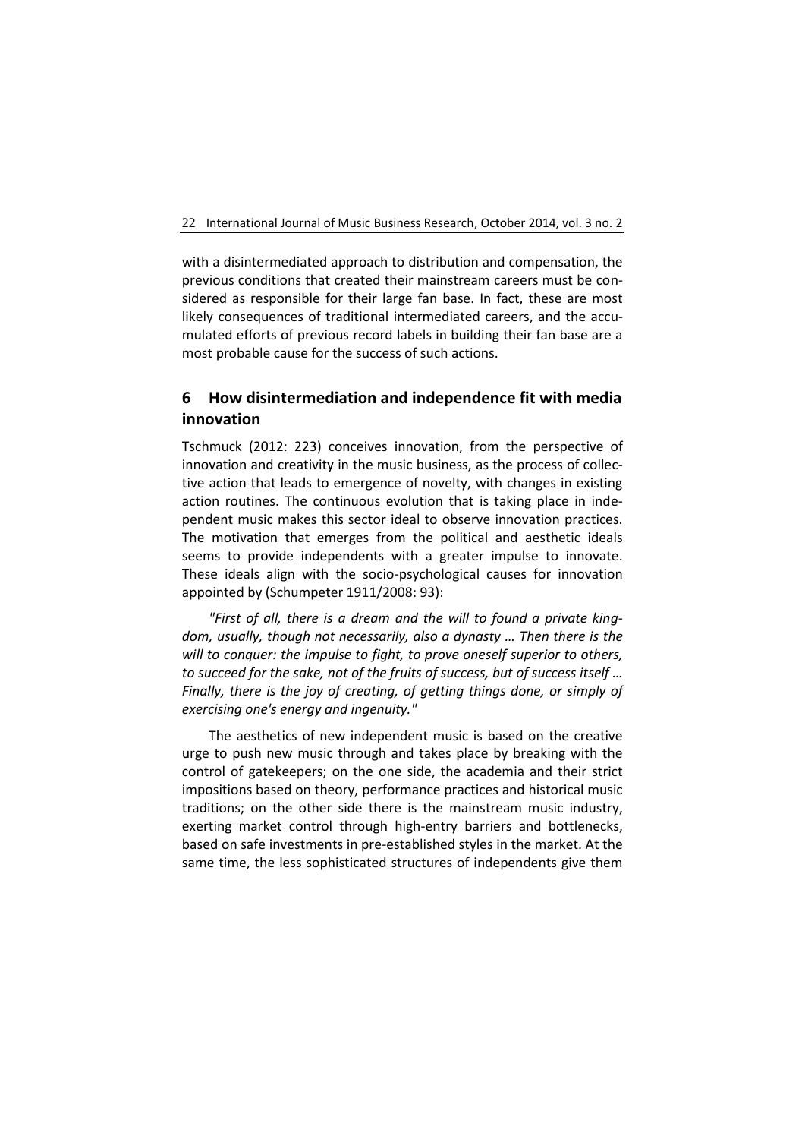with a disintermediated approach to distribution and compensation, the previous conditions that created their mainstream careers must be considered as responsible for their large fan base. In fact, these are most likely consequences of traditional intermediated careers, and the accumulated efforts of previous record labels in building their fan base are a most probable cause for the success of such actions.

# **6 How disintermediation and independence fit with media innovation**

Tschmuck (2012: 223) conceives innovation, from the perspective of innovation and creativity in the music business, as the process of collective action that leads to emergence of novelty, with changes in existing action routines. The continuous evolution that is taking place in independent music makes this sector ideal to observe innovation practices. The motivation that emerges from the political and aesthetic ideals seems to provide independents with a greater impulse to innovate. These ideals align with the socio-psychological causes for innovation appointed by (Schumpeter 1911/2008: 93):

*"First of all, there is a dream and the will to found a private kingdom, usually, though not necessarily, also a dynasty … Then there is the will to conquer: the impulse to fight, to prove oneself superior to others, to succeed for the sake, not of the fruits of success, but of success itself … Finally, there is the joy of creating, of getting things done, or simply of exercising one's energy and ingenuity."*

The aesthetics of new independent music is based on the creative urge to push new music through and takes place by breaking with the control of gatekeepers; on the one side, the academia and their strict impositions based on theory, performance practices and historical music traditions; on the other side there is the mainstream music industry, exerting market control through high-entry barriers and bottlenecks, based on safe investments in pre-established styles in the market. At the same time, the less sophisticated structures of independents give them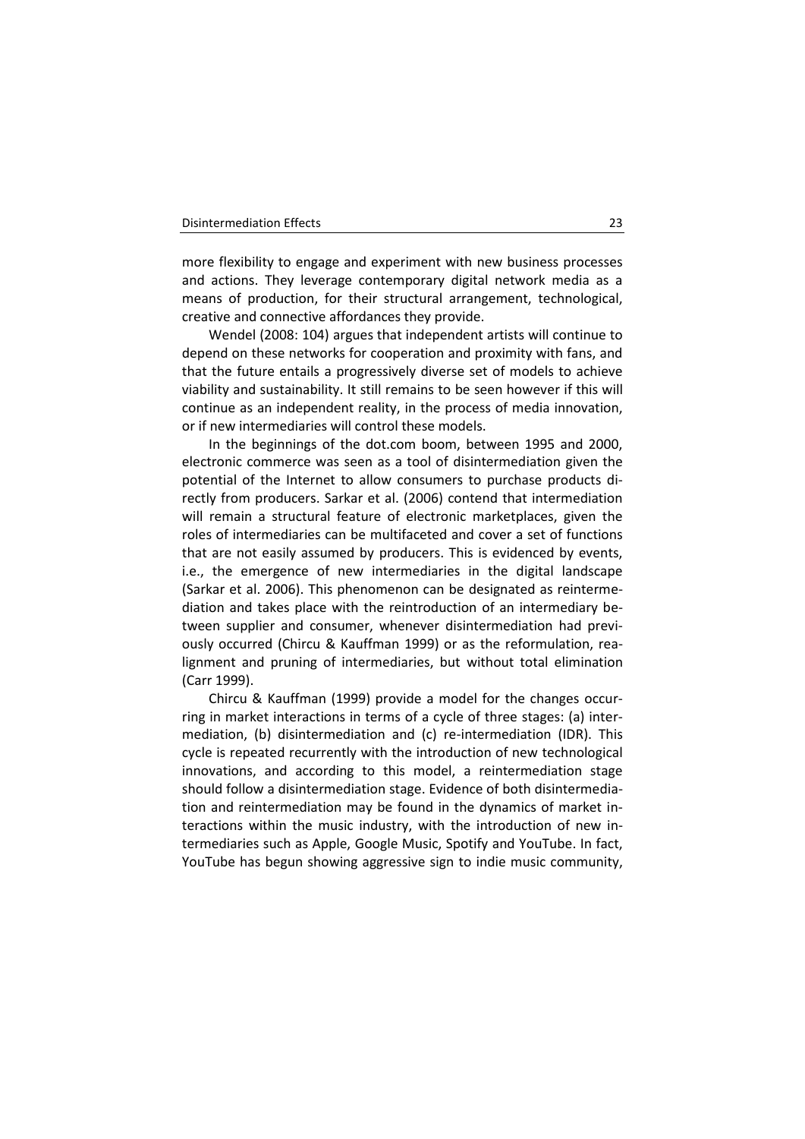more flexibility to engage and experiment with new business processes and actions. They leverage contemporary digital network media as a means of production, for their structural arrangement, technological, creative and connective affordances they provide.

Wendel (2008: 104) argues that independent artists will continue to depend on these networks for cooperation and proximity with fans, and that the future entails a progressively diverse set of models to achieve viability and sustainability. It still remains to be seen however if this will continue as an independent reality, in the process of media innovation, or if new intermediaries will control these models.

In the beginnings of the dot.com boom, between 1995 and 2000, electronic commerce was seen as a tool of disintermediation given the potential of the Internet to allow consumers to purchase products directly from producers. Sarkar et al. (2006) contend that intermediation will remain a structural feature of electronic marketplaces, given the roles of intermediaries can be multifaceted and cover a set of functions that are not easily assumed by producers. This is evidenced by events, i.e., the emergence of new intermediaries in the digital landscape (Sarkar et al. 2006). This phenomenon can be designated as reintermediation and takes place with the reintroduction of an intermediary between supplier and consumer, whenever disintermediation had previously occurred (Chircu & Kauffman 1999) or as the reformulation, realignment and pruning of intermediaries, but without total elimination (Carr 1999).

Chircu & Kauffman (1999) provide a model for the changes occurring in market interactions in terms of a cycle of three stages: (a) intermediation, (b) disintermediation and (c) re-intermediation (IDR). This cycle is repeated recurrently with the introduction of new technological innovations, and according to this model, a reintermediation stage should follow a disintermediation stage. Evidence of both disintermediation and reintermediation may be found in the dynamics of market interactions within the music industry, with the introduction of new intermediaries such as Apple, Google Music, Spotify and YouTube. In fact, YouTube has begun showing aggressive sign to indie music community,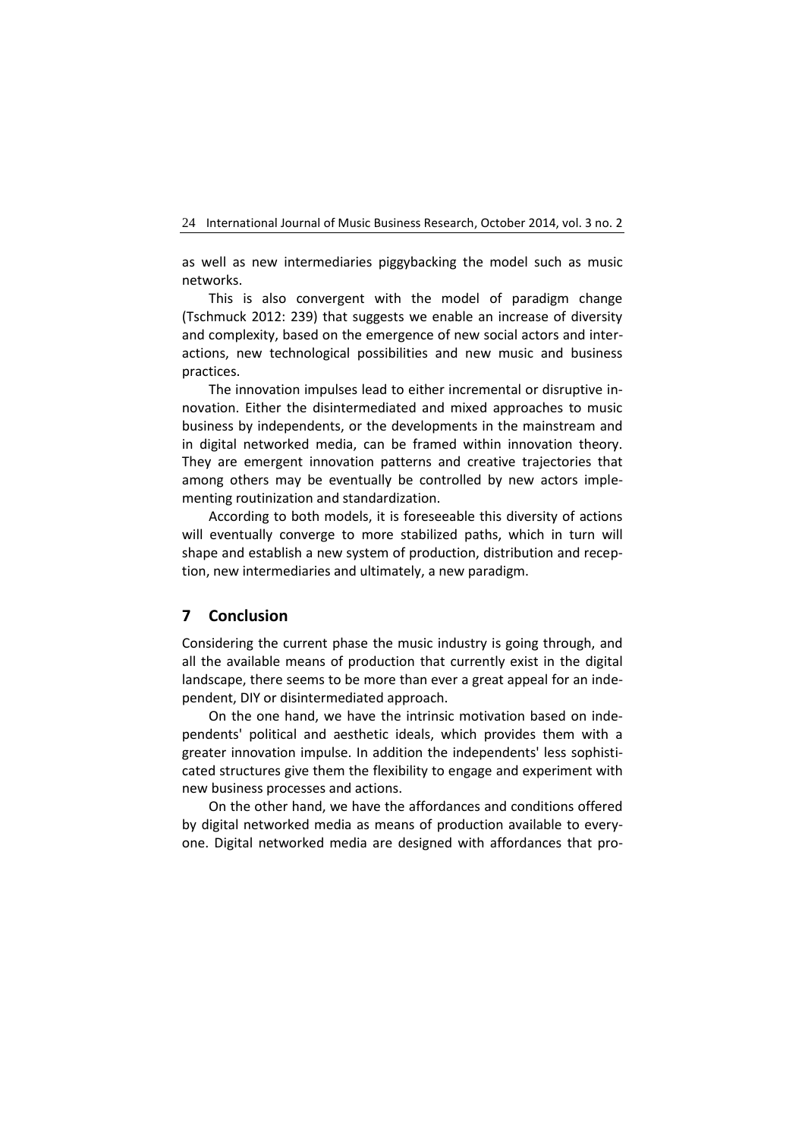as well as new intermediaries piggybacking the model such as music networks.

This is also convergent with the model of paradigm change (Tschmuck 2012: 239) that suggests we enable an increase of diversity and complexity, based on the emergence of new social actors and interactions, new technological possibilities and new music and business practices.

The innovation impulses lead to either incremental or disruptive innovation. Either the disintermediated and mixed approaches to music business by independents, or the developments in the mainstream and in digital networked media, can be framed within innovation theory. They are emergent innovation patterns and creative trajectories that among others may be eventually be controlled by new actors implementing routinization and standardization.

According to both models, it is foreseeable this diversity of actions will eventually converge to more stabilized paths, which in turn will shape and establish a new system of production, distribution and reception, new intermediaries and ultimately, a new paradigm.

# **7 Conclusion**

Considering the current phase the music industry is going through, and all the available means of production that currently exist in the digital landscape, there seems to be more than ever a great appeal for an independent, DIY or disintermediated approach.

On the one hand, we have the intrinsic motivation based on independents' political and aesthetic ideals, which provides them with a greater innovation impulse. In addition the independents' less sophisticated structures give them the flexibility to engage and experiment with new business processes and actions.

On the other hand, we have the affordances and conditions offered by digital networked media as means of production available to everyone. Digital networked media are designed with affordances that pro-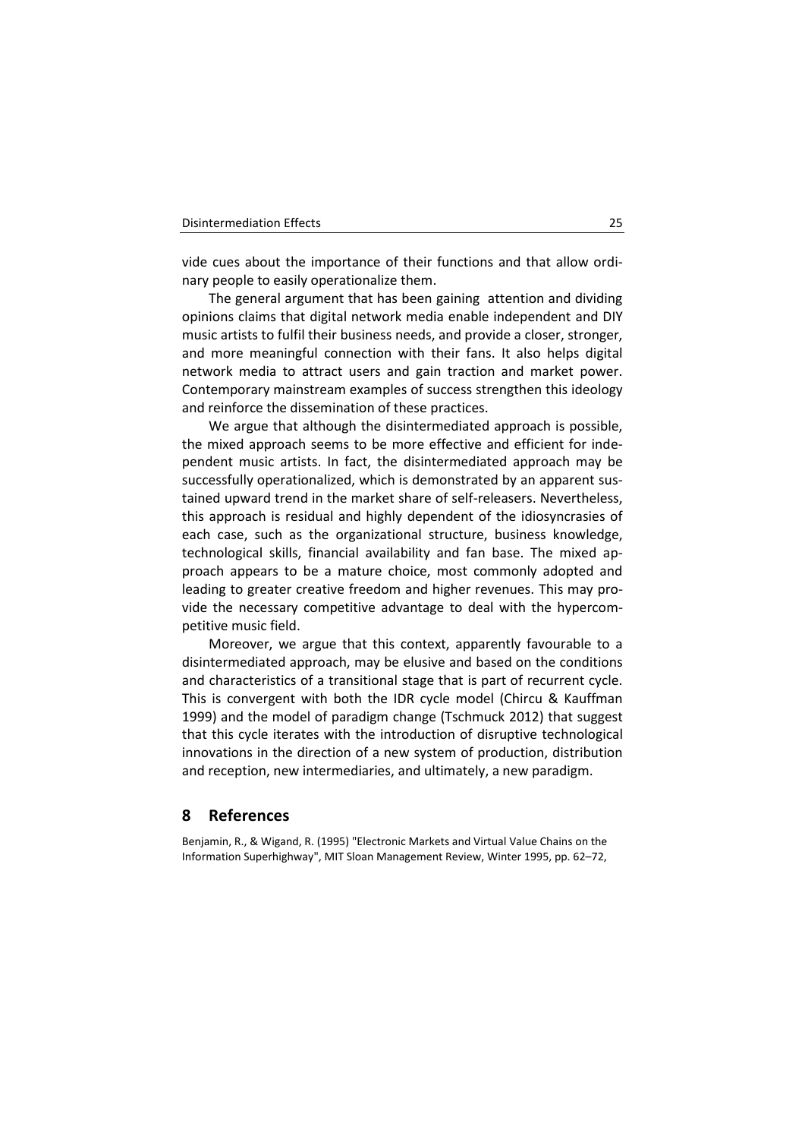vide cues about the importance of their functions and that allow ordinary people to easily operationalize them.

The general argument that has been gaining attention and dividing opinions claims that digital network media enable independent and DIY music artists to fulfil their business needs, and provide a closer, stronger, and more meaningful connection with their fans. It also helps digital network media to attract users and gain traction and market power. Contemporary mainstream examples of success strengthen this ideology and reinforce the dissemination of these practices.

We argue that although the disintermediated approach is possible, the mixed approach seems to be more effective and efficient for independent music artists. In fact, the disintermediated approach may be successfully operationalized, which is demonstrated by an apparent sustained upward trend in the market share of self-releasers. Nevertheless, this approach is residual and highly dependent of the idiosyncrasies of each case, such as the organizational structure, business knowledge, technological skills, financial availability and fan base. The mixed approach appears to be a mature choice, most commonly adopted and leading to greater creative freedom and higher revenues. This may provide the necessary competitive advantage to deal with the hypercompetitive music field.

Moreover, we argue that this context, apparently favourable to a disintermediated approach, may be elusive and based on the conditions and characteristics of a transitional stage that is part of recurrent cycle. This is convergent with both the IDR cycle model (Chircu & Kauffman 1999) and the model of paradigm change (Tschmuck 2012) that suggest that this cycle iterates with the introduction of disruptive technological innovations in the direction of a new system of production, distribution and reception, new intermediaries, and ultimately, a new paradigm.

## **8 References**

Benjamin, R., & Wigand, R. (1995) "Electronic Markets and Virtual Value Chains on the Information Superhighway", MIT Sloan Management Review, Winter 1995, pp. 62–72,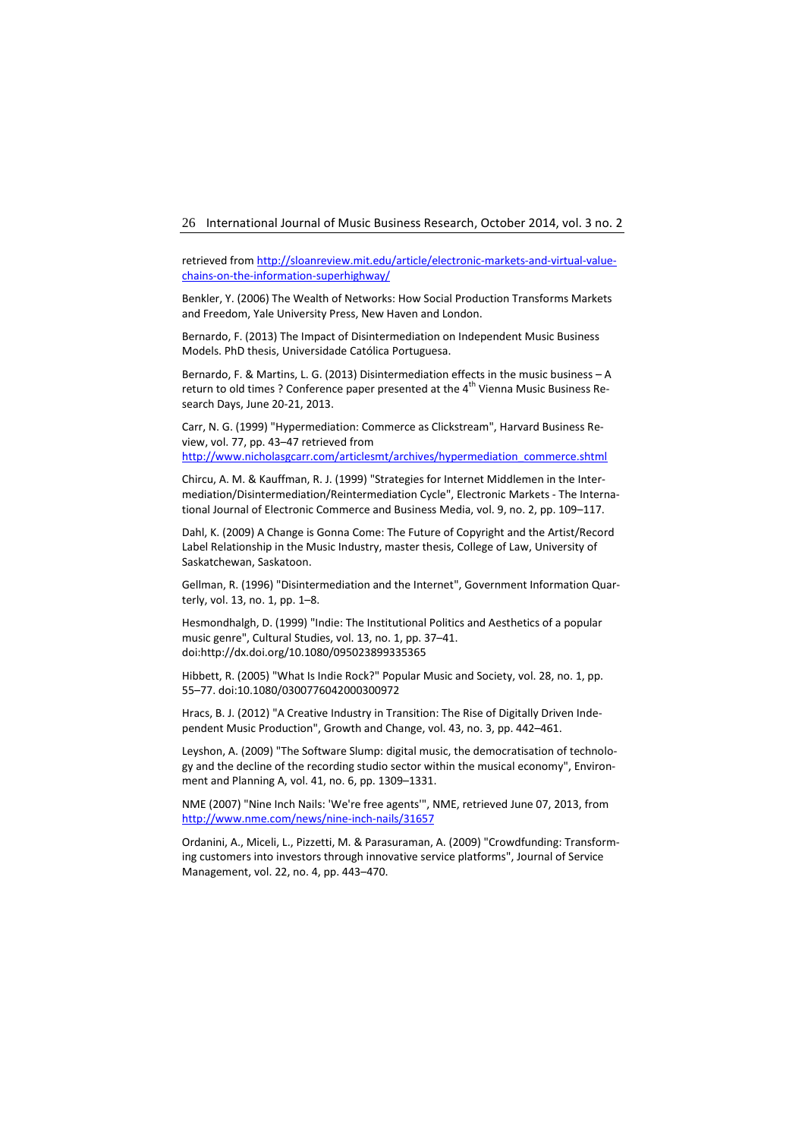retrieved fro[m http://sloanreview.mit.edu/article/electronic-markets-and-virtual-value](http://sloanreview.mit.edu/article/electronic-markets-and-virtual-value-chains-on-the-information-superhighway/)[chains-on-the-information-superhighway/](http://sloanreview.mit.edu/article/electronic-markets-and-virtual-value-chains-on-the-information-superhighway/)

Benkler, Y. (2006) The Wealth of Networks: How Social Production Transforms Markets and Freedom, Yale University Press, New Haven and London.

Bernardo, F. (2013) The Impact of Disintermediation on Independent Music Business Models. PhD thesis, Universidade Católica Portuguesa.

Bernardo, F. & Martins, L. G. (2013) Disintermediation effects in the music business – A return to old times ? Conference paper presented at the 4<sup>th</sup> Vienna Music Business Research Days, June 20-21, 2013.

Carr, N. G. (1999) "Hypermediation: Commerce as Clickstream", Harvard Business Review, vol. 77, pp. 43–47 retrieved from [http://www.nicholasgcarr.com/articlesmt/archives/hypermediation\\_commerce.shtml](http://www.nicholasgcarr.com/articlesmt/archives/hypermediation_commerce.shtml)

Chircu, A. M. & Kauffman, R. J. (1999) "Strategies for Internet Middlemen in the Intermediation/Disintermediation/Reintermediation Cycle", Electronic Markets - The International Journal of Electronic Commerce and Business Media, vol. 9, no. 2, pp. 109–117.

Dahl, K. (2009) A Change is Gonna Come: The Future of Copyright and the Artist/Record Label Relationship in the Music Industry, master thesis, College of Law, University of Saskatchewan, Saskatoon.

Gellman, R. (1996) "Disintermediation and the Internet", Government Information Quarterly, vol. 13, no. 1, pp. 1–8.

Hesmondhalgh, D. (1999) "Indie: The Institutional Politics and Aesthetics of a popular music genre", Cultural Studies, vol. 13, no. 1, pp. 37–41. doi:http://dx.doi.org/10.1080/095023899335365

Hibbett, R. (2005) "What Is Indie Rock?" Popular Music and Society, vol. 28, no. 1, pp. 55–77. doi:10.1080/0300776042000300972

Hracs, B. J. (2012) "A Creative Industry in Transition: The Rise of Digitally Driven Independent Music Production", Growth and Change, vol. 43, no. 3, pp. 442–461.

Leyshon, A. (2009) "The Software Slump: digital music, the democratisation of technology and the decline of the recording studio sector within the musical economy", Environment and Planning A, vol. 41, no. 6, pp. 1309–1331.

NME (2007) "Nine Inch Nails: 'We're free agents'", NME, retrieved June 07, 2013, from <http://www.nme.com/news/nine-inch-nails/31657>

Ordanini, A., Miceli, L., Pizzetti, M. & Parasuraman, A. (2009) "Crowdfunding: Transforming customers into investors through innovative service platforms", Journal of Service Management, vol. 22, no. 4, pp. 443–470.